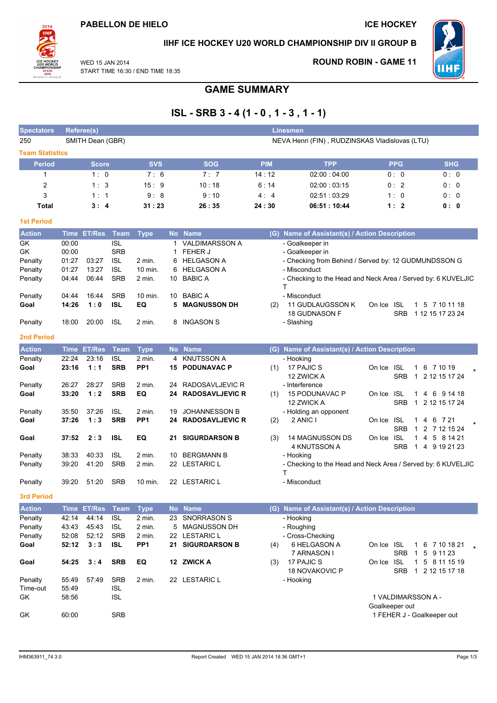

## IIHF ICE HOCKEY U20 WORLD CHAMPIONSHIP DIV II GROUP B

WED 15 JAN 2014 START TIME 16:30 / END TIME 18:35

### **ROUND ROBIN - GAME 11**



**GAME SUMMARY** 

# $ISL - SRB$  3 - 4 (1 - 0, 1 - 3, 1 - 1)

| <b>Spectators</b>      | Referee(s)  |                  |                          | <b>Linesmen</b>                                |                |                        |            |                                                                   |                                          |                                    |  |  |
|------------------------|-------------|------------------|--------------------------|------------------------------------------------|----------------|------------------------|------------|-------------------------------------------------------------------|------------------------------------------|------------------------------------|--|--|
| 250                    |             | SMITH Dean (GBR) |                          | NEVA Henri (FIN), RUDZINSKAS Vladislovas (LTU) |                |                        |            |                                                                   |                                          |                                    |  |  |
| <b>Team Statistics</b> |             |                  |                          |                                                |                |                        |            |                                                                   |                                          |                                    |  |  |
| <b>Period</b>          |             | <b>Score</b>     |                          | <b>SVS</b>                                     |                | <b>SOG</b>             | <b>PIM</b> | <b>TPP</b>                                                        | <b>PPG</b>                               | <b>SHG</b>                         |  |  |
| 1                      |             | 1:0              |                          | 7:6                                            |                | 7:7                    | 14:12      | 02:00:04:00                                                       | 0: 0                                     | 0:0                                |  |  |
| 2                      |             | 1:3              |                          | 15:9                                           |                | 10:18                  | 6:14       | 02:00:03:15                                                       | 0:2                                      | 0:0                                |  |  |
| 3                      |             | 1:1              |                          | 9:8                                            |                | 9:10                   | 4:4        | 02:51:03:29                                                       | 1:0                                      | 0:0                                |  |  |
| Total                  |             | 3:4              |                          | 31:23                                          |                | 26:35                  | 24:30      | 06:51:10:44                                                       | 1:2                                      | 0: 0                               |  |  |
| <b>1st Period</b>      |             |                  |                          |                                                |                |                        |            |                                                                   |                                          |                                    |  |  |
| <b>Action</b>          |             | Time ET/Res      | <b>Team</b>              | <b>Type</b>                                    |                | No Name                |            | (G) Name of Assistant(s) / Action Description                     |                                          |                                    |  |  |
| GK                     | 00:00       |                  | <b>ISL</b>               |                                                | $\overline{1}$ | <b>VALDIMARSSON A</b>  |            | - Goalkeeper in                                                   |                                          |                                    |  |  |
| GK                     | 00:00       |                  | <b>SRB</b>               |                                                | 1              | FEHER J                |            | - Goalkeeper in                                                   |                                          |                                    |  |  |
| Penalty                | 01:27       | 03:27            | <b>ISL</b>               | 2 min.                                         | 6              | <b>HELGASON A</b>      |            | - Checking from Behind / Served by: 12 GUDMUNDSSON G              |                                          |                                    |  |  |
| Penalty                | 01:27       | 13:27            | <b>ISL</b><br><b>SRB</b> | 10 min.                                        | 6              | <b>HELGASON A</b>      |            | - Misconduct                                                      |                                          |                                    |  |  |
| Penalty                | 04:44       | 06:44            |                          | 2 min.                                         | 10             | <b>BABIC A</b>         |            | - Checking to the Head and Neck Area / Served by: 6 KUVELJIC<br>Τ |                                          |                                    |  |  |
| Penalty                | 04:44       | 16:44            | <b>SRB</b>               | 10 min.                                        | 10             | <b>BABIC A</b>         |            | - Misconduct                                                      |                                          |                                    |  |  |
| Goal                   | 14:26       | 1:0              | <b>ISL</b>               | EQ                                             | 5              | <b>MAGNUSSON DH</b>    | (2)        | 11 GUDLAUGSSON K<br>18 GUDNASON F                                 | On Ice ISL<br><b>SRB</b>                 | 1 5 7 10 11 18<br>1 12 15 17 23 24 |  |  |
| Penalty                | 18:00       | 20:00            | <b>ISL</b>               | 2 min.                                         | 8              | INGASON S              |            | - Slashing                                                        |                                          |                                    |  |  |
| <b>2nd Period</b>      |             |                  |                          |                                                |                |                        |            |                                                                   |                                          |                                    |  |  |
| <b>Action</b>          | <b>Time</b> | <b>ET/Res</b>    | <b>Team</b>              | <b>Type</b>                                    | <b>No</b>      | <b>Name</b>            |            | (G) Name of Assistant(s) / Action Description                     |                                          |                                    |  |  |
| Penalty                | 22:24       | 23:16            | <b>ISL</b>               | 2 min.                                         | 4              | <b>KNUTSSON A</b>      |            | - Hooking                                                         |                                          |                                    |  |  |
| Goal                   | 23:16       | 1:1              | <b>SRB</b>               | PP <sub>1</sub>                                | 15             | <b>PODUNAVAC P</b>     | (1)        | 17 PAJIC S<br>12 ZWICK A                                          | On Ice ISL<br><b>SRB</b>                 | 1 6 7 10 19<br>1 2 12 15 17 24     |  |  |
| Penalty                | 26:27       | 28:27            | <b>SRB</b>               | 2 min.                                         | 24             | RADOSAVLJEVIC R        |            | - Interference                                                    |                                          |                                    |  |  |
| Goal                   | 33:20       | 1:2              | <b>SRB</b>               | EQ                                             | 24             | <b>RADOSAVLJEVIC R</b> | (1)        | 15 PODUNAVAC P<br>12 ZWICK A                                      | On Ice ISL<br><b>SRB</b>                 | 1 4 6 9 14 18<br>1 2 12 15 17 24   |  |  |
| Penalty                | 35:50       | 37:26            | <b>ISL</b>               | 2 min.                                         | 19             | <b>JOHANNESSON B</b>   |            | - Holding an opponent                                             |                                          |                                    |  |  |
| Goal                   | 37:26       | 1:3              | <b>SRB</b>               | PP <sub>1</sub>                                |                | 24 RADOSAVLJEVIC R     | (2)        | 2 ANIC I                                                          | On Ice ISL<br>$1 \quad 4$                | 6 7 21                             |  |  |
| Goal                   | 37:52       | 2:3              | <b>ISL</b>               | EQ                                             | 21             | <b>SIGURDARSON B</b>   | (3)        | <b>14 MAGNUSSON DS</b>                                            | <b>SRB</b><br>On Ice ISL                 | 1 2 7 12 15 24<br>1 4 5 8 14 21    |  |  |
|                        |             |                  |                          |                                                |                |                        |            | 4 KNUTSSON A                                                      | <b>SRB</b>                               | 1 4 9 19 21 23                     |  |  |
| Penalty                | 38:33       | 40:33            | <b>ISL</b>               | 2 min.                                         | 10             | <b>BERGMANN B</b>      |            | - Hooking                                                         |                                          |                                    |  |  |
| Penalty                | 39:20       | 41:20            | <b>SRB</b>               | 2 min.                                         |                | 22 LESTARIC L          |            | - Checking to the Head and Neck Area / Served by: 6 KUVELJIC<br>т |                                          |                                    |  |  |
| Penalty                | 39:20       | 51:20            | <b>SRB</b>               | 10 min.                                        |                | 22 LESTARIC L          |            | - Misconduct                                                      |                                          |                                    |  |  |
| <b>3rd Period</b>      |             |                  |                          |                                                |                |                        |            |                                                                   |                                          |                                    |  |  |
| <b>Action</b>          |             | Time ET/Res      | <b>Team</b>              | <b>Type</b>                                    |                | No Name                |            | (G) Name of Assistant(s) / Action Description                     |                                          |                                    |  |  |
| Penalty                | 42:14       | 44:14            | <b>ISL</b>               | 2 min.                                         | 23             | SNORRASON S            |            | - Hooking                                                         |                                          |                                    |  |  |
| Penalty                | 43:43       | 45:43            | <b>ISL</b>               | $2$ min.                                       | 5              | <b>MAGNUSSON DH</b>    |            | - Roughing                                                        |                                          |                                    |  |  |
| Penalty                | 52:08       | 52:12            | <b>SRB</b>               | 2 min.                                         |                | 22 LESTARIC L          |            | - Cross-Checking                                                  |                                          |                                    |  |  |
| Goal                   | 52:12       | 3:3              | <b>ISL</b>               | PP <sub>1</sub>                                | 21             | <b>SIGURDARSON B</b>   | (4)        | 6 HELGASON A<br>7 ARNASON I                                       | On Ice ISL<br><b>SRB</b>                 | 1 6 7 10 18 21<br>1 5 9 11 23      |  |  |
| Goal                   | 54:25       | 3:4              | <b>SRB</b>               | EQ                                             |                | 12 ZWICK A             | (3)        | 17 PAJIC S<br>18 NOVAKOVIC P                                      | On Ice ISL<br>$\mathbf{1}$<br><b>SRB</b> | 5 8 11 15 19<br>1 2 12 15 17 18    |  |  |
| Penalty                | 55:49       | 57:49            | <b>SRB</b>               | $2$ min.                                       |                | 22 LESTARIC L          |            | - Hooking                                                         |                                          |                                    |  |  |
| Time-out               | 55:49       |                  | <b>ISL</b>               |                                                |                |                        |            |                                                                   |                                          |                                    |  |  |
| GK                     | 58:56       |                  | <b>ISL</b>               |                                                |                |                        |            |                                                                   | 1 VALDIMARSSON A -                       |                                    |  |  |
|                        |             |                  |                          |                                                |                |                        |            |                                                                   | Goalkeeper out                           |                                    |  |  |
| GK                     | 60:00       |                  | <b>SRB</b>               |                                                |                |                        |            |                                                                   | 1 FEHER J - Goalkeeper out               |                                    |  |  |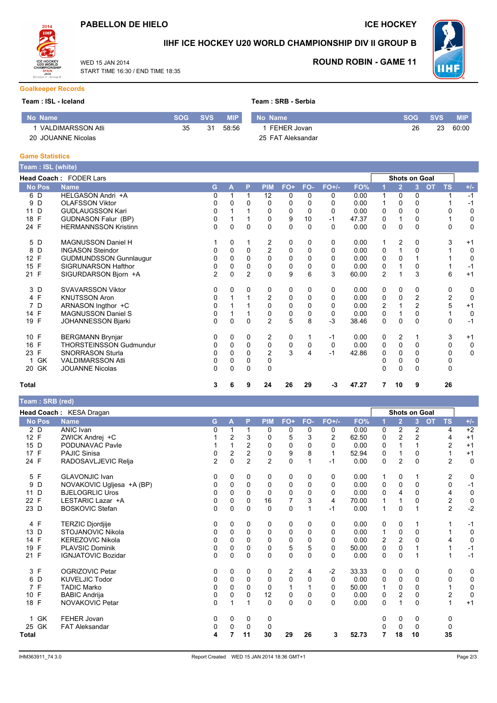## PABELLON DE HIELO

START TIME 16:30 / END TIME 18:35

WED 15 JAN 2014

**ICE HOCKEY** 



## IIHF ICE HOCKEY U20 WORLD CHAMPIONSHIP DIV II GROUP B

25 FAT Aleksandar



**ROUND ROBIN - GAME 11** 

#### **Goalkeeper Records**

#### Team : ISL - Iceland

No Name

**Game Statistics** 

| มm : ISL - Iceland  |            | Team : SRB - Serbia |            |             |                 |    |            |  |  |
|---------------------|------------|---------------------|------------|-------------|-----------------|----|------------|--|--|
| o Name              | <b>SOG</b> | <b>SVS</b>          | <b>MIP</b> | No Name     | <b>ISOG SVS</b> |    | <b>MIP</b> |  |  |
| 1 VALDIMARSSON Atli | 35         | 31                  | 58:56      | FEHER Jovan | 26              | 23 | 60:00      |  |  |

#### 20 JOUANNE Nicolas

| Team : ISL (white) |                               |                |          |                |                |           |          |          |       |                |                      |                |           |                |             |
|--------------------|-------------------------------|----------------|----------|----------------|----------------|-----------|----------|----------|-------|----------------|----------------------|----------------|-----------|----------------|-------------|
|                    | Head Coach: FODER Lars        |                |          |                |                |           |          |          |       |                | <b>Shots on Goal</b> |                |           |                |             |
| <b>No Pos</b>      | <b>Name</b>                   | G              | A        | P              | <b>PIM</b>     | FO+       | FO-      | $FO+/-$  | FO%   |                | $\overline{2}$       | $\overline{3}$ | <b>OT</b> | <b>TS</b>      | $+/-$       |
| 6 D                | HELGASON Andri +A             | 0              |          | 1              | 12             | 0         | 0        | 0        | 0.00  |                | 0                    | 0              |           |                | $-1$        |
| D<br>9             | <b>OLAFSSON Viktor</b>        |                | 0        | $\Omega$       | 0              | 0         | 0        | 0        | 0.00  |                | 0                    | 0              |           |                | $-1$        |
| D<br>11            | <b>GUDLAUGSSON Kari</b>       |                |          |                | 0              | 0         | 0        | 0        | 0.00  | 0              | 0                    | 0              |           | $\Omega$       | 0           |
| E<br>18            | <b>GUDNASON Falur (BP)</b>    | 0              |          |                | 0              | 9         | 10       | $-1$     | 47.37 | 0              | 1                    | 0              |           |                | 0           |
| 24 F               | <b>HERMANNSSON Kristinn</b>   | 0              | 0        | $\Omega$       | $\Omega$       | $\Omega$  | $\Omega$ | 0        | 0.00  | 0              | 0                    | 0              |           | 0              | $\mathbf 0$ |
| 5 D                | <b>MAGNUSSON Daniel H</b>     |                | 0        |                | 2              | 0         | 0        | 0        | 0.00  |                | 2                    | 0              |           | 3              | $+1$        |
| D<br>8             | <b>INGASON Steindor</b>       |                | $\Omega$ | 0              | $\overline{c}$ | 0         | 0        | 0        | 0.00  | 0              |                      |                |           |                | 0           |
| 12 F               | <b>GUDMUNDSSON Gunnlaugur</b> |                | 0        | 0              | 0              | 0         | 0        | 0        | 0.00  | 0              | 0                    |                |           |                | $\mathbf 0$ |
| 15 F               | SIGRUNARSON Hafthor           |                | $\Omega$ | $\Omega$       | $\Omega$       | 0         | $\Omega$ | 0        | 0.00  | 0              |                      | 0              |           |                | $-1$        |
| 21 F               | SIGURDARSON Bjorn +A          | $\overline{c}$ | $\Omega$ | $\overline{2}$ | $\Omega$       | 9         | 6        | 3        | 60.00 | $\overline{2}$ |                      | 3              |           | 6              | $+1$        |
| 3 D                | <b>SVAVARSSON Viktor</b>      | 0              | 0        | 0              | 0              | 0         | 0        | 0        | 0.00  | 0              | 0                    | 0              |           | 0              | 0           |
| 4 F                | <b>KNUTSSON Aron</b>          |                |          |                | $\overline{2}$ | 0         | 0        | 0        | 0.00  | 0              | 0                    | $\overline{c}$ |           | $\overline{2}$ | $\mathbf 0$ |
| D<br>7             | ARNASON Ingthor +C            | 0              |          |                | $\Omega$       | 0         | $\Omega$ | 0        | 0.00  | 2              |                      | $\overline{c}$ |           | 5              | $+1$        |
| 14 F               | <b>MAGNUSSON Daniel S</b>     | 0              |          |                | 0              | 0         | 0        | 0        | 0.00  | 0              |                      | 0              |           |                | $\mathbf 0$ |
| 19 F               | <b>JOHANNESSON Bjarki</b>     | 0              | $\Omega$ | $\Omega$       | $\overline{2}$ | 5         | 8        | $-3$     | 38.46 | $\Omega$       | 0                    | $\Omega$       |           | 0              | $-1$        |
| 10 F               | <b>BERGMANN Brynjar</b>       | 0              | 0        | 0              | 2              | 0         |          | $-1$     | 0.00  | 0              | 2                    |                |           | 3              | $+1$        |
| 16 F               | THORSTEINSSON Gudmundur       | 0              | 0        | $\Omega$       | 0              | $\pmb{0}$ | 0        | $\Omega$ | 0.00  | 0              | 0                    | $\Omega$       |           | $\mathbf 0$    | $\mathbf 0$ |
| F<br>23            | <b>SNORRASON Sturla</b>       |                | 0        | $\Omega$       | $\overline{c}$ | 3         | 4        | $-1$     | 42.86 | 0              | 0                    |                |           | 0              | $\mathbf 0$ |
| GK<br>1            | <b>VALDIMARSSON Atli</b>      | 0              | $\Omega$ | $\Omega$       | 0              |           |          |          |       |                | 0                    |                |           | 0              |             |
| GK<br>20           | <b>JOUANNE Nicolas</b>        | 0              | $\Omega$ | $\Omega$       | $\mathbf{0}$   |           |          |          |       | 0              | 0                    | $\Omega$       |           | 0              |             |
| Total              |                               | 3              | 6        | 9              | 24             | 26        | 29       | -3       | 47.27 | 7              | 10                   | 9              |           | 26             |             |

#### Team: SRB (red)

|                      | Head Coach: KESA Dragan   |                |                |                |                |                |          |         |       |              | <b>Shots on Goal</b> |                |                        |                  |             |
|----------------------|---------------------------|----------------|----------------|----------------|----------------|----------------|----------|---------|-------|--------------|----------------------|----------------|------------------------|------------------|-------------|
| <b>No Pos</b>        | <b>Name</b>               | G.             | A              | P              | <b>PIM</b>     | FO+            | FO-      | $FO+/-$ | FO%   |              | 2                    | $\overline{3}$ | <b>TS</b><br><b>OT</b> |                  | $+/-$       |
| 2 D                  | <b>ANIC Ivan</b>          | 0              |                | 1              | 0              | 0              | 0        | 0       | 0.00  | 0            | 2                    | 2              |                        | 4                | $+2$        |
| 12 F                 | ZWICK Andrej +C           |                | 2              | 3              | 0              | 5              | 3        | 2       | 62.50 | $\Omega$     | $\overline{2}$       | $\overline{c}$ |                        | $+1$<br>4        |             |
| 15 D                 | PODUNAVAC Pavle           |                |                | 2              | 0              | 0              | $\Omega$ | 0       | 0.00  | 0            |                      |                |                        | 2<br>$+1$        |             |
| 17 F                 | <b>PAJIC Sinisa</b>       | 0              | $\overline{2}$ | $\overline{c}$ | $\mathbf 0$    | 9              | 8        | 1       | 52.94 | 0            | 1                    | 0              |                        | $+1$<br>1        |             |
| 24 F                 | RADOSAVLJEVIC Relja       | $\overline{c}$ | 0              | $\overline{2}$ | $\overline{2}$ | $\mathbf 0$    | 1        | $-1$    | 0.00  | 0            | $\overline{2}$       | 0              |                        | $\overline{2}$   | $\mathbf 0$ |
| 5 F                  | <b>GLAVONJIC Ivan</b>     | 0              | 0              | 0              | 0              | 0              | 0        | 0       | 0.00  | 1            | 0                    |                |                        | $\overline{c}$   | 0           |
| D<br>9               | NOVAKOVIC Ugljesa +A (BP) |                | $\Omega$       | $\Omega$       | 0              | 0              | 0        | 0       | 0.00  | 0            | 0                    | $\Omega$       |                        | $\mathbf 0$      | $-1$        |
| 11 D                 | <b>BJELOGRLIC Uros</b>    | 0              | $\Omega$       | $\Omega$       | $\Omega$       | 0              | 0        | 0       | 0.00  | 0            | 4                    | 0              |                        | 4                | $\mathbf 0$ |
| F<br>22              | LESTARIC Lazar +A         | 0              | $\Omega$       | $\Omega$       | 16             | $\overline{7}$ | 3        | 4       | 70.00 |              |                      | 0              |                        | $\boldsymbol{2}$ | $\pmb{0}$   |
| 23 D                 | <b>BOSKOVIC Stefan</b>    | 0              | $\mathbf 0$    | $\Omega$       | $\mathbf 0$    | 0              | 1        | $-1$    | 0.00  |              | $\mathbf 0$          |                |                        | $\overline{2}$   | $-2$        |
| 4 F                  | <b>TERZIC Djordjije</b>   | 0              | 0              | $\Omega$       | 0              | 0              | 0        | 0       | 0.00  | 0            | 0                    |                |                        |                  | $-1$        |
| 13<br>D              | <b>STOJANOVIC Nikola</b>  | 0              | 0              | $\mathbf 0$    | 0              | 0              | 0        | 0       | 0.00  |              | 0                    | 0              |                        |                  | 0           |
| 14 F                 | <b>KEREZOVIC Nikola</b>   | 0              | $\Omega$       | $\Omega$       | 0              | 0              | $\Omega$ | 0       | 0.00  | 2            | $\overline{2}$       | $\Omega$       |                        | 4                | $\mathbf 0$ |
| F<br>19              | <b>PLAVSIC Dominik</b>    | 0              | 0              | $\mathbf 0$    | 0              | 5              | 5        | 0       | 50.00 | 0            | 0                    |                |                        |                  | $-1$        |
| 21 F                 | <b>IGNJATOVIC Bozidar</b> | 0              | $\Omega$       | $\Omega$       | $\mathbf{0}$   | $\mathbf{0}$   | $\Omega$ | 0       | 0.00  | $\Omega$     | $\mathbf{0}$         |                |                        | 1                | $-1$        |
| 3 F                  | OGRIZOVIC Petar           | 0              | 0              | 0              | 0              | $\overline{c}$ | 4        | $-2$    | 33.33 | 0            | 0                    | 0              |                        | 0                | 0           |
| D<br>6               | <b>KUVELJIC Todor</b>     | 0              | 0              | 0              | 0              | 0              | 0        | 0       | 0.00  | 0            | 0                    | 0              |                        | 0                | 0           |
| F<br>$\overline{7}$  | <b>TADIC Marko</b>        | 0              | $\Omega$       | $\Omega$       | $\Omega$       |                |          | 0       | 50.00 |              | $\mathbf 0$          | $\Omega$       |                        | 1                | $\mathsf 0$ |
| E<br>10 <sup>1</sup> | <b>BABIC Andrija</b>      | 0              | 0              | $\Omega$       | 12             | 0              | 0        | 0       | 0.00  | 0            | $\overline{2}$       | 0              |                        | $\overline{2}$   | 0           |
| 18 F                 | NOVAKOVIC Petar           | <sup>0</sup>   | 1              | 1              | $\mathbf{0}$   | $\mathbf{0}$   | $\Omega$ | 0       | 0.00  | $\mathbf{0}$ | $\mathbf{1}$         | $\Omega$       |                        | $+1$<br>1        |             |
| <b>GK</b><br>1.      | FEHER Jovan               | 0              | $\Omega$       | $\Omega$       | 0              |                |          |         |       | 0            | 0                    | 0              |                        | 0                |             |
| 25 GK                | <b>FAT Aleksandar</b>     | 0              | 0              | 0              | 0              |                |          |         |       | 0            | 0                    | 0              |                        | 0                |             |
| Total                |                           | 4              |                | 11             | 30             | 29             | 26       | 3       | 52.73 | 7            | 18                   | 10             |                        | 35               |             |